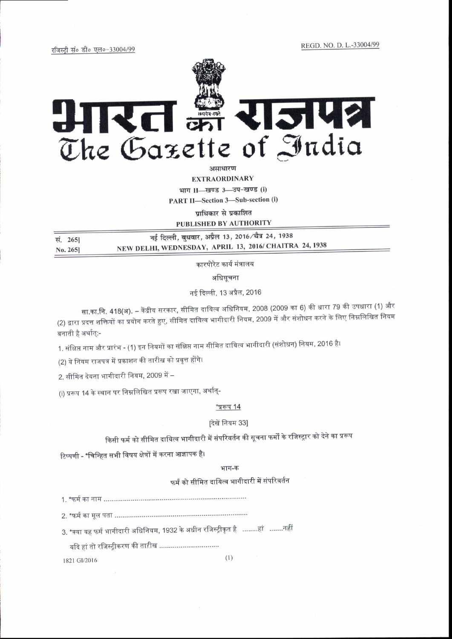REGD, NO. D. L.-33004/99

रजिस्टी सं० डी० एल०-33004/99



असाधारण

**EXTRAORDINARY** 

भाग II-खण्ड 3-उप-खण्ड (i)

PART II-Section 3-Sub-section (i)

प्राधिकार से प्रकाशित

PUBLISHED BY AUTHORITY

नई दिल्ली, बुधवार, अप्रैल 13, 2016/चैत्र 24, 1938 सं. 265| NEW DELHI, WEDNESDAY, APRIL 13, 2016/ CHAITRA 24, 1938 No. 265]

कारपोरेट कार्य मंत्रालय

अधिसूचना

नई दिल्ली, 13 अप्रैल, 2016

सा.का.नि. 418(अ). – केंद्रीय सरकार, सीमित दायित्व अधिनियम, 2008 (2009 का 6) की धारा 79 की उपधारा (1) और (2) द्वारा प्रदत्त शक्तियों का प्रयोग करते हुए, सीमित दायित्व भागीदारी नियम, 2009 में और संशोधन करने के लिए निम्नलिखित नियम बनाती है अर्थात्:-

1. संक्षिप्त नाम और प्रारंभ - (1) इन नियमों का संक्षिप्त नाम सीमित दायित्व भागीदारी (संशोधन) नियम, 2016 है।

(2) ये नियम राजपत्र में प्रकाशन की तारीख को प्रवृत्त होंगे।

2. सीमित देयता भागीदारी नियम. 2009 में –

(i) प्ररूप 14 के स्थान पर निम्नलिखित प्ररूप रखा जाएगा, अर्थात्-

#### "प्ररूप 14

# दिखें नियम 33]

किसी फर्म को सीमित दायित्व भागीदारी में संपरिवर्तन की सूचना फर्मों के रजिस्ट्रार को देने का प्ररूप

टिप्पणी - \*चिन्हित सभी विषय क्षेत्रों में करना आज्ञापक है।

### भाग-क

फर्म को सीमित दायित्व भागीदारी में संपरिवर्तन

3. \*क्या यह फर्म भागीदारी अधिनियम, 1932 के अधीन रजिस्ट्रीकृत है ….....हां …....नहीं

यदि हां तो रजिस्टीकरण की ताऱीख ................................

1821 GI/2016

 $(1)$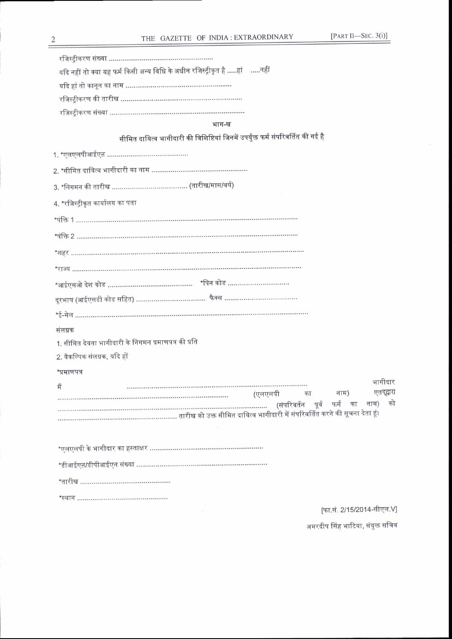| यदि नहीं तो क्या यह फर्म किसी अन्य विधि के अधीन रजिस्ट्रीकृत है हां    नहीं      |
|----------------------------------------------------------------------------------|
|                                                                                  |
|                                                                                  |
|                                                                                  |
| भाग-ख                                                                            |
| सीमित दायित्व भागीदारी की विशिष्टियां जिनमें उपर्युक्त फर्म संपरिवर्तित की गई है |
|                                                                                  |
|                                                                                  |
|                                                                                  |
| 4. *रजिस्ट्रीकृत कार्यालय का पता                                                 |
|                                                                                  |
|                                                                                  |
|                                                                                  |
|                                                                                  |
|                                                                                  |
|                                                                                  |
|                                                                                  |
| संलग्नक                                                                          |
| 1. सीमित देयता भागीदारी के निगमन प्रमाणपत्र की प्रति                             |
| 2. वैकल्पिक संलग्नक, यदि हों                                                     |
| *प्रमाणपत्र                                                                      |
| भागीदार<br>मैं                                                                   |
| एतद्द्वारा<br>(एलएलपी<br>नाम)<br>का<br>को<br>(संपरिवर्तन पूर्व फर्म का नाम)      |
|                                                                                  |
|                                                                                  |
|                                                                                  |
|                                                                                  |
|                                                                                  |
|                                                                                  |

[फा.सं. 2/15/2014-सीएल.V]

अमरदीप सिंह भाटिया, संयुक्त सचिव